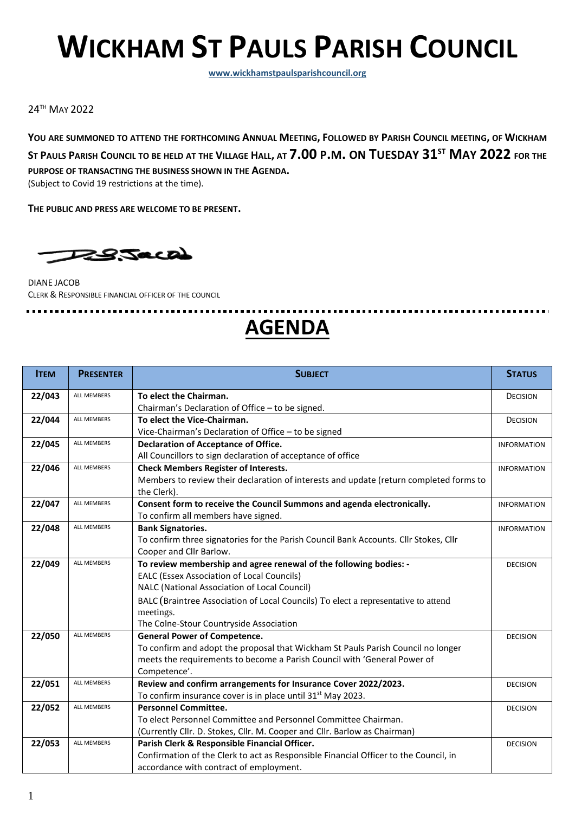# **WICKHAM ST PAULS PARISH COUNCIL**

**[www.wickhamstpaulsparishcouncil.org](http://www.e-voice.org.uk/wickham-st-pauls)**

24TH MAY 2022

YOU ARE SUMMONED TO ATTEND THE FORTHCOMING ANNUAL MEETING, FOLLOWED BY PARISH COUNCIL MEETING, OF WICKHAM ST PAULS PARISH COUNCIL TO BE HELD AT THE VILLAGE HALL, AT 7.00 P.M. ON TUESDAY 31<sup>ST</sup> MAY 2022 FOR THE **PURPOSE OF TRANSACTING THE BUSINESS SHOWN IN THE AGENDA.** 

(Subject to Covid 19 restrictions at the time).

**THE PUBLIC AND PRESS ARE WELCOME TO BE PRESENT.**



DIANE JACOB CLERK & RESPONSIBLE FINANCIAL OFFICER OF THE COUNCIL

.................................

# **AGENDA**

| <b>ITEM</b> | <b>PRESENTER</b>   | <b>SUBJECT</b>                                                                         | <b>STATUS</b>      |
|-------------|--------------------|----------------------------------------------------------------------------------------|--------------------|
| 22/043      | ALL MEMBERS        | To elect the Chairman.                                                                 | <b>DECISION</b>    |
|             |                    | Chairman's Declaration of Office - to be signed.                                       |                    |
| 22/044      | <b>ALL MEMBERS</b> | To elect the Vice-Chairman.                                                            | <b>DECISION</b>    |
|             |                    | Vice-Chairman's Declaration of Office - to be signed                                   |                    |
| 22/045      | <b>ALL MEMBERS</b> | <b>Declaration of Acceptance of Office.</b>                                            | <b>INFORMATION</b> |
|             |                    | All Councillors to sign declaration of acceptance of office                            |                    |
| 22/046      | ALL MEMBERS        | <b>Check Members Register of Interests.</b>                                            | <b>INFORMATION</b> |
|             |                    | Members to review their declaration of interests and update (return completed forms to |                    |
|             |                    | the Clerk).                                                                            |                    |
| 22/047      | ALL MEMBERS        | Consent form to receive the Council Summons and agenda electronically.                 | <b>INFORMATION</b> |
|             |                    | To confirm all members have signed.                                                    |                    |
| 22/048      | <b>ALL MEMBERS</b> | <b>Bank Signatories.</b>                                                               | <b>INFORMATION</b> |
|             |                    | To confirm three signatories for the Parish Council Bank Accounts. Cllr Stokes, Cllr   |                    |
|             |                    | Cooper and Cllr Barlow.                                                                |                    |
| 22/049      | <b>ALL MEMBERS</b> | To review membership and agree renewal of the following bodies: -                      | <b>DECISION</b>    |
|             |                    | <b>EALC (Essex Association of Local Councils)</b>                                      |                    |
|             |                    | NALC (National Association of Local Council)                                           |                    |
|             |                    | BALC (Braintree Association of Local Councils) To elect a representative to attend     |                    |
|             |                    | meetings.                                                                              |                    |
|             |                    | The Colne-Stour Countryside Association                                                |                    |
| 22/050      | <b>ALL MEMBERS</b> | <b>General Power of Competence.</b>                                                    | <b>DECISION</b>    |
|             |                    | To confirm and adopt the proposal that Wickham St Pauls Parish Council no longer       |                    |
|             |                    | meets the requirements to become a Parish Council with 'General Power of               |                    |
|             |                    | Competence'.                                                                           |                    |
| 22/051      | ALL MEMBERS        | Review and confirm arrangements for Insurance Cover 2022/2023.                         | <b>DECISION</b>    |
|             |                    | To confirm insurance cover is in place until 31 <sup>st</sup> May 2023.                |                    |
| 22/052      | ALL MEMBERS        | <b>Personnel Committee.</b>                                                            | <b>DECISION</b>    |
|             |                    | To elect Personnel Committee and Personnel Committee Chairman.                         |                    |
|             |                    | (Currently Cllr. D. Stokes, Cllr. M. Cooper and Cllr. Barlow as Chairman)              |                    |
| 22/053      | <b>ALL MEMBERS</b> | Parish Clerk & Responsible Financial Officer.                                          | <b>DECISION</b>    |
|             |                    | Confirmation of the Clerk to act as Responsible Financial Officer to the Council, in   |                    |
|             |                    | accordance with contract of employment.                                                |                    |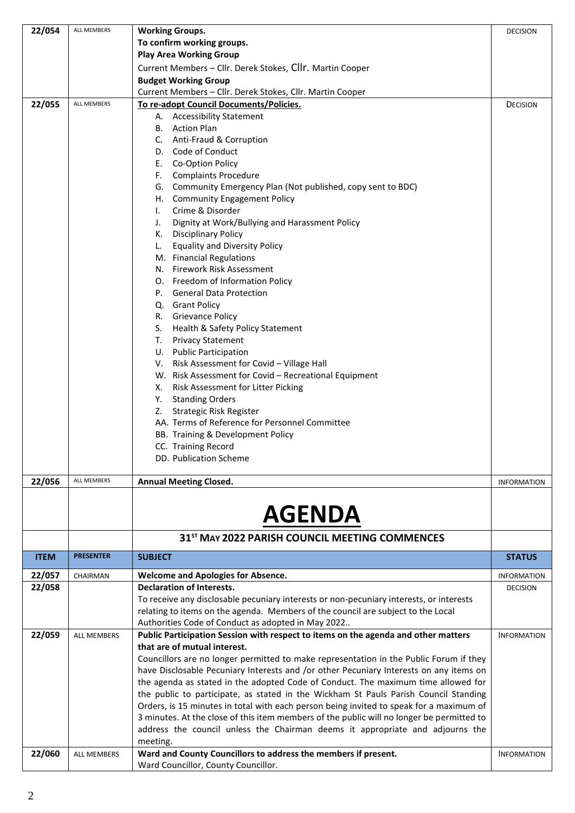| 22/054      | ALL MEMBERS        | <b>Working Groups.</b>                                                                                                                                                     | <b>DECISION</b>    |
|-------------|--------------------|----------------------------------------------------------------------------------------------------------------------------------------------------------------------------|--------------------|
|             |                    | To confirm working groups.                                                                                                                                                 |                    |
|             |                    | <b>Play Area Working Group</b>                                                                                                                                             |                    |
|             |                    | Current Members - Cllr. Derek Stokes, Cllr. Martin Cooper<br><b>Budget Working Group</b>                                                                                   |                    |
|             |                    | Current Members - Cllr. Derek Stokes, Cllr. Martin Cooper                                                                                                                  |                    |
| 22/055      | ALL MEMBERS        | To re-adopt Council Documents/Policies.                                                                                                                                    | <b>DECISION</b>    |
|             |                    | A. Accessibility Statement                                                                                                                                                 |                    |
|             |                    | B. Action Plan                                                                                                                                                             |                    |
|             |                    | C. Anti-Fraud & Corruption                                                                                                                                                 |                    |
|             |                    | D. Code of Conduct                                                                                                                                                         |                    |
|             |                    | E. Co-Option Policy                                                                                                                                                        |                    |
|             |                    | F. Complaints Procedure<br>G. Community Emergency Plan (Not published, copy sent to BDC)                                                                                   |                    |
|             |                    | H. Community Engagement Policy                                                                                                                                             |                    |
|             |                    | Crime & Disorder<br>L.                                                                                                                                                     |                    |
|             |                    | Dignity at Work/Bullying and Harassment Policy<br>J.                                                                                                                       |                    |
|             |                    | K. Disciplinary Policy                                                                                                                                                     |                    |
|             |                    | <b>Equality and Diversity Policy</b><br>L.                                                                                                                                 |                    |
|             |                    | M. Financial Regulations<br>N. Firework Risk Assessment                                                                                                                    |                    |
|             |                    | O. Freedom of Information Policy                                                                                                                                           |                    |
|             |                    | P. General Data Protection                                                                                                                                                 |                    |
|             |                    | Q. Grant Policy                                                                                                                                                            |                    |
|             |                    | R. Grievance Policy                                                                                                                                                        |                    |
|             |                    | S. Health & Safety Policy Statement                                                                                                                                        |                    |
|             |                    | T. Privacy Statement                                                                                                                                                       |                    |
|             |                    | U. Public Participation                                                                                                                                                    |                    |
|             |                    | V. Risk Assessment for Covid - Village Hall<br>W. Risk Assessment for Covid - Recreational Equipment                                                                       |                    |
|             |                    | X. Risk Assessment for Litter Picking                                                                                                                                      |                    |
|             |                    | Y. Standing Orders                                                                                                                                                         |                    |
|             |                    | Z. Strategic Risk Register                                                                                                                                                 |                    |
|             |                    | AA. Terms of Reference for Personnel Committee                                                                                                                             |                    |
|             |                    | BB. Training & Development Policy                                                                                                                                          |                    |
|             |                    | CC. Training Record                                                                                                                                                        |                    |
|             |                    | DD. Publication Scheme                                                                                                                                                     |                    |
| 22/056      | ALL MEMBERS        | <b>Annual Meeting Closed.</b>                                                                                                                                              | <b>INFORMATION</b> |
|             |                    |                                                                                                                                                                            |                    |
|             |                    | <b>AGENDA</b>                                                                                                                                                              |                    |
|             |                    |                                                                                                                                                                            |                    |
|             |                    | 31 <sup>ST</sup> MAY 2022 PARISH COUNCIL MEETING COMMENCES                                                                                                                 |                    |
| <b>ITEM</b> | <b>PRESENTER</b>   | <b>SUBJECT</b>                                                                                                                                                             | <b>STATUS</b>      |
| 22/057      | CHAIRMAN           | <b>Welcome and Apologies for Absence.</b>                                                                                                                                  | <b>INFORMATION</b> |
| 22/058      |                    | <b>Declaration of Interests.</b>                                                                                                                                           | <b>DECISION</b>    |
|             |                    | To receive any disclosable pecuniary interests or non-pecuniary interests, or interests                                                                                    |                    |
|             |                    | relating to items on the agenda. Members of the council are subject to the Local                                                                                           |                    |
| 22/059      | <b>ALL MEMBERS</b> | Authorities Code of Conduct as adopted in May 2022<br>Public Participation Session with respect to items on the agenda and other matters                                   | <b>INFORMATION</b> |
|             |                    | that are of mutual interest.                                                                                                                                               |                    |
|             |                    | Councillors are no longer permitted to make representation in the Public Forum if they                                                                                     |                    |
|             |                    | have Disclosable Pecuniary Interests and /or other Pecuniary Interests on any items on                                                                                     |                    |
|             |                    | the agenda as stated in the adopted Code of Conduct. The maximum time allowed for                                                                                          |                    |
|             |                    | the public to participate, as stated in the Wickham St Pauls Parish Council Standing                                                                                       |                    |
|             |                    | Orders, is 15 minutes in total with each person being invited to speak for a maximum of                                                                                    |                    |
|             |                    | 3 minutes. At the close of this item members of the public will no longer be permitted to<br>address the council unless the Chairman deems it appropriate and adjourns the |                    |
|             |                    | meeting.                                                                                                                                                                   |                    |
| 22/060      | <b>ALL MEMBERS</b> | Ward and County Councillors to address the members if present.                                                                                                             | <b>INFORMATION</b> |
|             |                    | Ward Councillor, County Councillor.                                                                                                                                        |                    |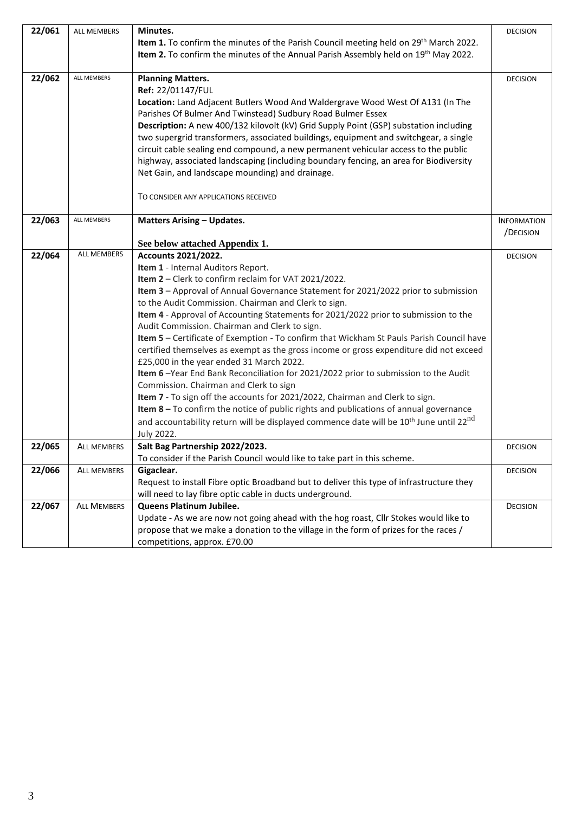| 22/061 | <b>ALL MEMBERS</b> | Minutes.                                                                                                       | <b>DECISION</b>    |
|--------|--------------------|----------------------------------------------------------------------------------------------------------------|--------------------|
|        |                    | Item 1. To confirm the minutes of the Parish Council meeting held on 29 <sup>th</sup> March 2022.              |                    |
|        |                    | Item 2. To confirm the minutes of the Annual Parish Assembly held on 19 <sup>th</sup> May 2022.                |                    |
|        |                    |                                                                                                                |                    |
| 22/062 | ALL MEMBERS        | <b>Planning Matters.</b>                                                                                       | <b>DECISION</b>    |
|        |                    | Ref: 22/01147/FUL                                                                                              |                    |
|        |                    | Location: Land Adjacent Butlers Wood And Waldergrave Wood West Of A131 (In The                                 |                    |
|        |                    | Parishes Of Bulmer And Twinstead) Sudbury Road Bulmer Essex                                                    |                    |
|        |                    | Description: A new 400/132 kilovolt (kV) Grid Supply Point (GSP) substation including                          |                    |
|        |                    | two supergrid transformers, associated buildings, equipment and switchgear, a single                           |                    |
|        |                    | circuit cable sealing end compound, a new permanent vehicular access to the public                             |                    |
|        |                    | highway, associated landscaping (including boundary fencing, an area for Biodiversity                          |                    |
|        |                    | Net Gain, and landscape mounding) and drainage.                                                                |                    |
|        |                    |                                                                                                                |                    |
|        |                    | TO CONSIDER ANY APPLICATIONS RECEIVED                                                                          |                    |
| 22/063 | ALL MEMBERS        | <b>Matters Arising - Updates.</b>                                                                              | <b>INFORMATION</b> |
|        |                    |                                                                                                                | /DECISION          |
|        |                    | See below attached Appendix 1.                                                                                 |                    |
| 22/064 | <b>ALL MEMBERS</b> | <b>Accounts 2021/2022.</b>                                                                                     | <b>DECISION</b>    |
|        |                    | Item 1 - Internal Auditors Report.                                                                             |                    |
|        |                    | Item 2 - Clerk to confirm reclaim for VAT 2021/2022.                                                           |                    |
|        |                    | Item 3 - Approval of Annual Governance Statement for 2021/2022 prior to submission                             |                    |
|        |                    | to the Audit Commission. Chairman and Clerk to sign.                                                           |                    |
|        |                    | Item 4 - Approval of Accounting Statements for 2021/2022 prior to submission to the                            |                    |
|        |                    | Audit Commission. Chairman and Clerk to sign.                                                                  |                    |
|        |                    | Item 5 - Certificate of Exemption - To confirm that Wickham St Pauls Parish Council have                       |                    |
|        |                    | certified themselves as exempt as the gross income or gross expenditure did not exceed                         |                    |
|        |                    | £25,000 in the year ended 31 March 2022.                                                                       |                    |
|        |                    | Item 6-Year End Bank Reconciliation for 2021/2022 prior to submission to the Audit                             |                    |
|        |                    | Commission. Chairman and Clerk to sign                                                                         |                    |
|        |                    | Item 7 - To sign off the accounts for 2021/2022, Chairman and Clerk to sign.                                   |                    |
|        |                    | Item $8-$ To confirm the notice of public rights and publications of annual governance                         |                    |
|        |                    | and accountability return will be displayed commence date will be 10 <sup>th</sup> June until 22 <sup>nd</sup> |                    |
|        |                    | July 2022.                                                                                                     |                    |
| 22/065 | <b>ALL MEMBERS</b> | Salt Bag Partnership 2022/2023.                                                                                | <b>DECISION</b>    |
|        |                    | To consider if the Parish Council would like to take part in this scheme.                                      |                    |
| 22/066 | <b>ALL MEMBERS</b> | Gigaclear.                                                                                                     | <b>DECISION</b>    |
|        |                    | Request to install Fibre optic Broadband but to deliver this type of infrastructure they                       |                    |
|        |                    | will need to lay fibre optic cable in ducts underground.                                                       |                    |
| 22/067 | <b>ALL MEMBERS</b> | Queens Platinum Jubilee.                                                                                       | <b>DECISION</b>    |
|        |                    | Update - As we are now not going ahead with the hog roast, Cllr Stokes would like to                           |                    |
|        |                    | propose that we make a donation to the village in the form of prizes for the races /                           |                    |
|        |                    | competitions, approx. £70.00                                                                                   |                    |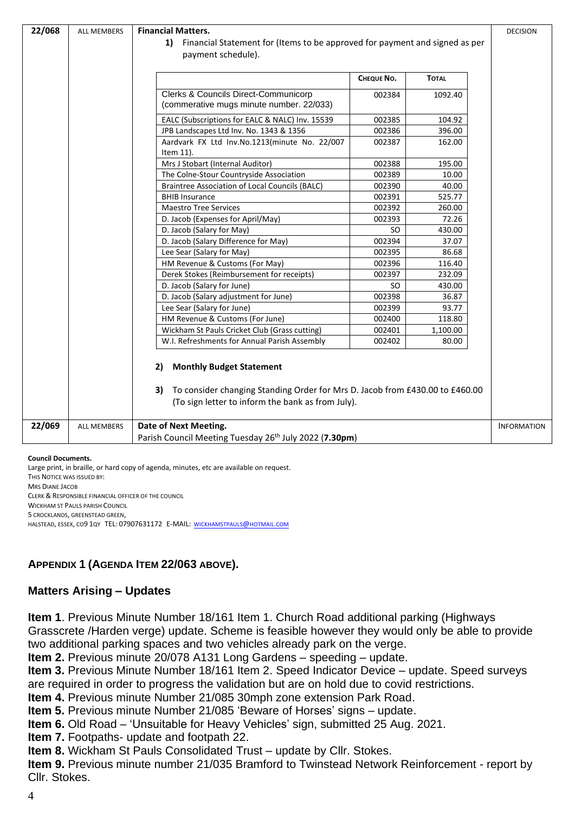| 22/068 | <b>Financial Matters.</b><br>ALL MEMBERS<br>1) Financial Statement for (Items to be approved for payment and signed as per<br>payment schedule). |                                                                                                                                                                                  |                    |  |
|--------|--------------------------------------------------------------------------------------------------------------------------------------------------|----------------------------------------------------------------------------------------------------------------------------------------------------------------------------------|--------------------|--|
|        |                                                                                                                                                  | CHEQUE NO.<br><b>TOTAL</b>                                                                                                                                                       |                    |  |
|        |                                                                                                                                                  |                                                                                                                                                                                  |                    |  |
|        |                                                                                                                                                  | Clerks & Councils Direct-Communicorp<br>002384<br>1092.40<br>(commerative mugs minute number. 22/033)                                                                            |                    |  |
|        |                                                                                                                                                  | 002385<br>104.92<br>EALC (Subscriptions for EALC & NALC) Inv. 15539                                                                                                              |                    |  |
|        |                                                                                                                                                  | 396.00<br>002386<br>JPB Landscapes Ltd Inv. No. 1343 & 1356                                                                                                                      |                    |  |
|        |                                                                                                                                                  | Aardvark FX Ltd Inv.No.1213(minute No. 22/007<br>002387<br>162.00<br>Item 11).                                                                                                   |                    |  |
|        |                                                                                                                                                  | Mrs J Stobart (Internal Auditor)<br>002388<br>195.00                                                                                                                             |                    |  |
|        |                                                                                                                                                  | The Colne-Stour Countryside Association<br>002389<br>10.00                                                                                                                       |                    |  |
|        |                                                                                                                                                  | <b>Braintree Association of Local Councils (BALC)</b><br>40.00<br>002390                                                                                                         |                    |  |
|        |                                                                                                                                                  | <b>BHIB Insurance</b><br>002391<br>525.77                                                                                                                                        |                    |  |
|        |                                                                                                                                                  | <b>Maestro Tree Services</b><br>002392<br>260.00                                                                                                                                 |                    |  |
|        |                                                                                                                                                  | D. Jacob (Expenses for April/May)<br>002393<br>72.26                                                                                                                             |                    |  |
|        |                                                                                                                                                  | D. Jacob (Salary for May)<br>430.00<br>SO                                                                                                                                        |                    |  |
|        |                                                                                                                                                  | D. Jacob (Salary Difference for May)<br>002394<br>37.07                                                                                                                          |                    |  |
|        |                                                                                                                                                  | 86.68<br>002395<br>Lee Sear (Salary for May)                                                                                                                                     |                    |  |
|        |                                                                                                                                                  | 002396<br>116.40<br>HM Revenue & Customs (For May)                                                                                                                               |                    |  |
|        |                                                                                                                                                  | Derek Stokes (Reimbursement for receipts)<br>002397<br>232.09                                                                                                                    |                    |  |
|        |                                                                                                                                                  | D. Jacob (Salary for June)<br>430.00<br>SO.                                                                                                                                      |                    |  |
|        |                                                                                                                                                  | 002398<br>D. Jacob (Salary adjustment for June)<br>36.87                                                                                                                         |                    |  |
|        |                                                                                                                                                  | 93.77<br>Lee Sear (Salary for June)<br>002399                                                                                                                                    |                    |  |
|        |                                                                                                                                                  | HM Revenue & Customs (For June)<br>002400<br>118.80                                                                                                                              |                    |  |
|        |                                                                                                                                                  | Wickham St Pauls Cricket Club (Grass cutting)<br>002401<br>1,100.00                                                                                                              |                    |  |
|        |                                                                                                                                                  | W.I. Refreshments for Annual Parish Assembly<br>002402<br>80.00                                                                                                                  |                    |  |
|        |                                                                                                                                                  | <b>Monthly Budget Statement</b><br>2)<br>To consider changing Standing Order for Mrs D. Jacob from £430.00 to £460.00<br>3)<br>(To sign letter to inform the bank as from July). |                    |  |
| 22/069 | <b>ALL MEMBERS</b>                                                                                                                               | Date of Next Meeting.                                                                                                                                                            | <b>INFORMATION</b> |  |
|        |                                                                                                                                                  | Parish Council Meeting Tuesday 26 <sup>th</sup> July 2022 (7.30pm)                                                                                                               |                    |  |
|        |                                                                                                                                                  |                                                                                                                                                                                  |                    |  |

#### **Council Documents.**

Large print, in braille, or hard copy of agenda, minutes, etc are available on request. THIS NOTICE WAS ISSUED BY: MRS DIANE JACOB CLERK & RESPONSIBLE FINANCIAL OFFICER OF THE COUNCIL WICKHAM ST PAULS PARISH COUNCIL 5 CROCKLANDS, GREENSTEAD GREEN, HALSTEAD, ESSEX, CO9 1QY TEL: 07907631172 E-MAIL: [WICKHAMSTPAULS](mailto:wickhamstpauls@hotmail.com)@HOTMAIL.COM

## **APPENDIX 1 (AGENDA ITEM 22/063 ABOVE).**

## **Matters Arising – Updates**

**Item 1**. Previous Minute Number 18/161 Item 1. Church Road additional parking (Highways Grasscrete /Harden verge) update. Scheme is feasible however they would only be able to provide two additional parking spaces and two vehicles already park on the verge.

**Item 2.** Previous minute 20/078 A131 Long Gardens – speeding – update.

**Item 3.** Previous Minute Number 18/161 Item 2. Speed Indicator Device – update. Speed surveys are required in order to progress the validation but are on hold due to covid restrictions.

**Item 4.** Previous minute Number 21/085 30mph zone extension Park Road.

**Item 5.** Previous minute Number 21/085 'Beware of Horses' signs – update.

**Item 6.** Old Road – 'Unsuitable for Heavy Vehicles' sign, submitted 25 Aug. 2021.

**Item 7.** Footpaths- update and footpath 22.

**Item 8.** Wickham St Pauls Consolidated Trust – update by Cllr. Stokes.

**Item 9.** Previous minute number 21/035 Bramford to Twinstead Network Reinforcement - report by Cllr. Stokes.